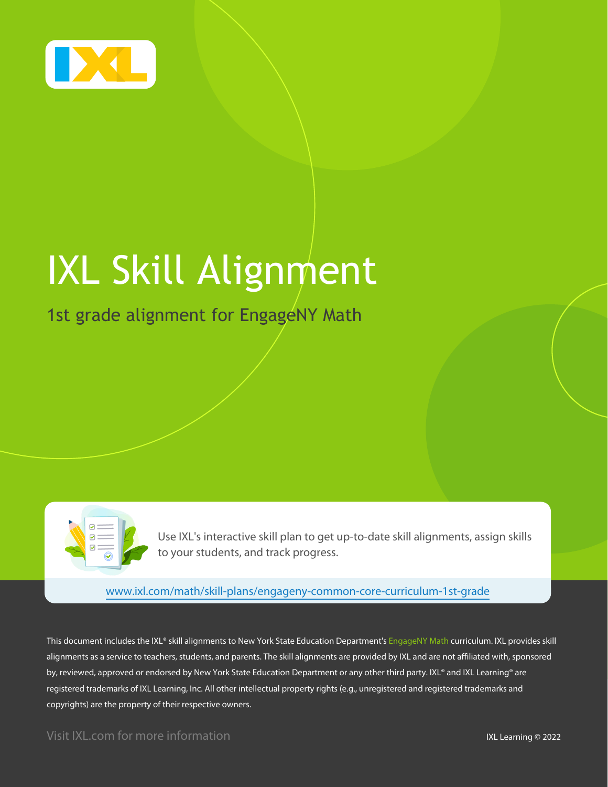

# IXL Skill Alignment

### 1st grade alignment for EngageNY Math



Use IXL's interactive skill plan to get up-to-date skill alignments, assign skills to your students, and track progress.

[www.ixl.com/math/skill-plans/engageny-common-core-curriculum-1st-grade](https://www.ixl.com/math/skill-plans/engageny-common-core-curriculum-1st-grade)

This document includes the IXL® skill alignments to New York State Education Department's EngageNY Math curriculum. IXL provides skill alignments as a service to teachers, students, and parents. The skill alignments are provided by IXL and are not affiliated with, sponsored by, reviewed, approved or endorsed by New York State Education Department or any other third party. IXL® and IXL Learning® are registered trademarks of IXL Learning, Inc. All other intellectual property rights (e.g., unregistered and registered trademarks and copyrights) are the property of their respective owners.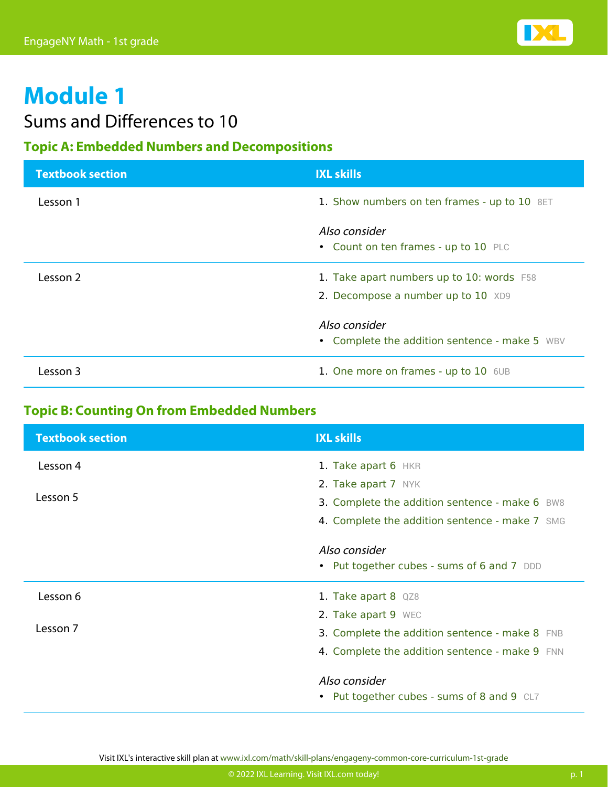

### Sums and Differences to 10

### **Topic A: Embedded Numbers and Decompositions**

| <b>Textbook section</b> | <b>IXL skills</b>                                                               |
|-------------------------|---------------------------------------------------------------------------------|
| Lesson 1                | 1. Show numbers on ten frames - up to 10 8ET                                    |
|                         | Also consider<br>• Count on ten frames - up to 10 PLC                           |
| Lesson 2                | 1. Take apart numbers up to 10: words F58<br>2. Decompose a number up to 10 XD9 |
|                         | Also consider<br>• Complete the addition sentence - make 5 WBV                  |
| l esson 3               | 1. One more on frames - up to 10 6UB                                            |

### **Topic B: Counting On from Embedded Numbers**

| <b>Textbook section</b> | <b>IXL skills</b>                              |
|-------------------------|------------------------------------------------|
| Lesson 4                | 1. Take apart 6 HKR                            |
|                         | 2. Take apart 7 NYK                            |
| Lesson 5                | 3. Complete the addition sentence - make 6 BW8 |
|                         | 4. Complete the addition sentence - make 7 SMG |
|                         | Also consider                                  |
|                         | • Put together cubes - sums of 6 and 7 DDD     |
| Lesson 6                | 1. Take apart 8 QZ8                            |
|                         | 2. Take apart 9 WEC                            |
| Lesson 7                | 3. Complete the addition sentence - make 8 FNB |
|                         | 4. Complete the addition sentence - make 9 FNN |
|                         | Also consider                                  |
|                         | • Put together cubes - sums of 8 and 9 CL7     |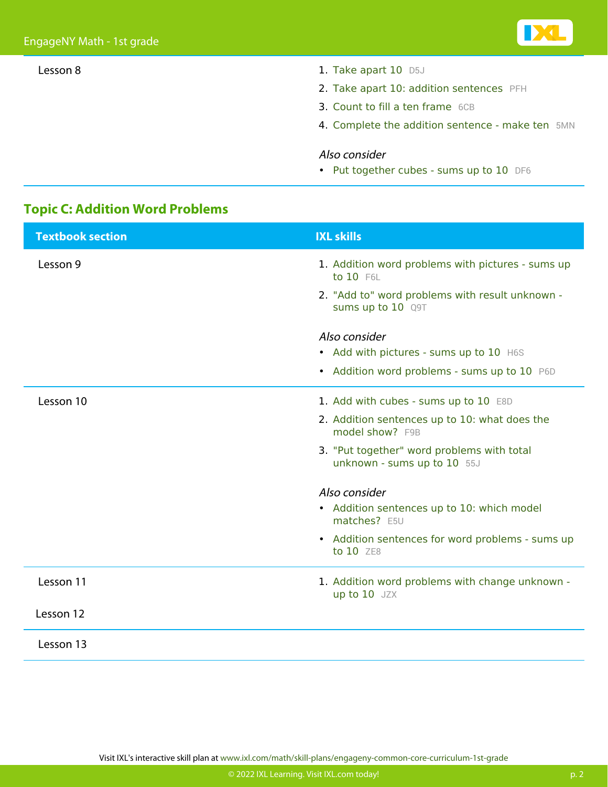- Lesson 8 1. [Take apart 10](https://www.ixl.com/math/grade-1/take-apart-10) [D5J](https://www.ixl.com/math/grade-1/take-apart-10)
	- 2. [Take apart 10: addition sentences](https://www.ixl.com/math/grade-1/take-apart-10-addition-sentences) [PFH](https://www.ixl.com/math/grade-1/take-apart-10-addition-sentences)
	- 3. [Count to fill a ten frame](https://www.ixl.com/math/grade-1/count-to-fill-a-ten-frame) [6CB](https://www.ixl.com/math/grade-1/count-to-fill-a-ten-frame)
	- 4. [Complete the addition sentence make ten](https://www.ixl.com/math/grade-1/complete-the-addition-sentence-make-ten) [5MN](https://www.ixl.com/math/grade-1/complete-the-addition-sentence-make-ten)

#### Also consider

• [Put together cubes - sums up to 10](https://www.ixl.com/math/grade-1/put-together-cubes-sums-up-to-10) [DF6](https://www.ixl.com/math/grade-1/put-together-cubes-sums-up-to-10)

### **Topic C: Addition Word Problems**

| <b>Textbook section</b> | <b>IXL skills</b>                                                         |
|-------------------------|---------------------------------------------------------------------------|
| Lesson 9                | 1. Addition word problems with pictures - sums up<br>to 10 F6L            |
|                         | 2. "Add to" word problems with result unknown -<br>sums up to 10 Q9T      |
|                         | Also consider                                                             |
|                         | • Add with pictures - sums up to 10 H6S                                   |
|                         | • Addition word problems - sums up to 10 P6D                              |
| Lesson 10               | 1. Add with cubes - sums up to 10 E8D                                     |
|                         | 2. Addition sentences up to 10: what does the<br>model show? F9B          |
|                         | 3. "Put together" word problems with total<br>unknown - sums up to 10 55J |
|                         | Also consider                                                             |
|                         | • Addition sentences up to 10: which model<br>matches? E5U                |
|                         | • Addition sentences for word problems - sums up<br>to 10 ZE8             |
| Lesson 11               | 1. Addition word problems with change unknown -<br>up to 10 JZX           |
| Lesson 12               |                                                                           |
| Lesson 13               |                                                                           |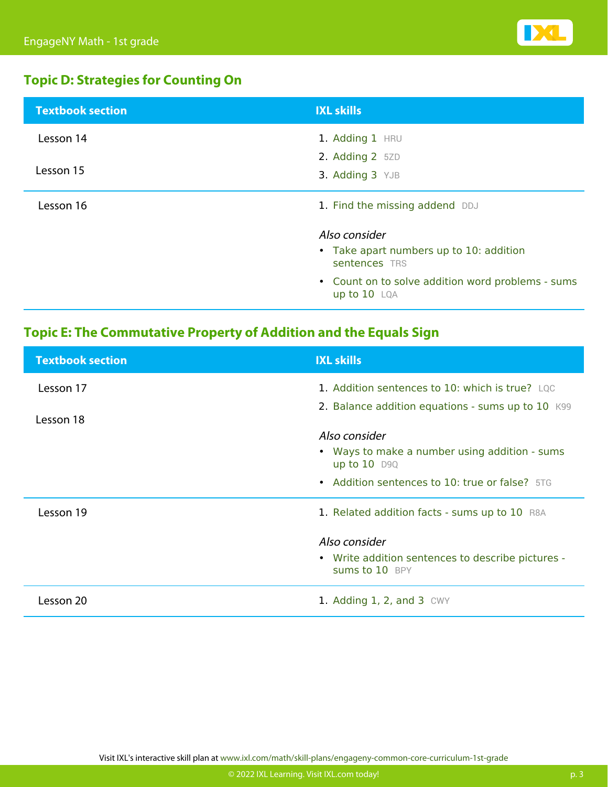

### **Topic D: Strategies for Counting On**

| <b>Textbook section</b> | <b>IXL skills</b>                                                 |
|-------------------------|-------------------------------------------------------------------|
| Lesson 14               | 1. Adding 1 HRU                                                   |
|                         | 2. Adding $2$ 5ZD                                                 |
| Lesson 15               | 3. Adding 3 YJB                                                   |
| Lesson 16               | 1. Find the missing addend DDJ                                    |
|                         | Also consider                                                     |
|                         | • Take apart numbers up to 10: addition<br>sentences TRS          |
|                         | • Count on to solve addition word problems - sums<br>up to 10 LQA |

### **Topic E: The Commutative Property of Addition and the Equals Sign**

| <b>Textbook section</b> | <b>IXL skills</b>                                                                |
|-------------------------|----------------------------------------------------------------------------------|
| Lesson 17               | 1. Addition sentences to 10: which is true? LQC                                  |
| Lesson 18               | 2. Balance addition equations - sums up to 10 K99                                |
|                         | Also consider<br>• Ways to make a number using addition - sums<br>up to $10$ D9Q |
|                         | • Addition sentences to 10: true or false? 5TG                                   |
| Lesson 19               | 1. Related addition facts - sums up to 10 R8A                                    |
|                         | Also consider                                                                    |
|                         | • Write addition sentences to describe pictures -<br>Sums to 10 BPY              |
| Lesson 20               | 1. Adding $1, 2$ , and $3$ CWY                                                   |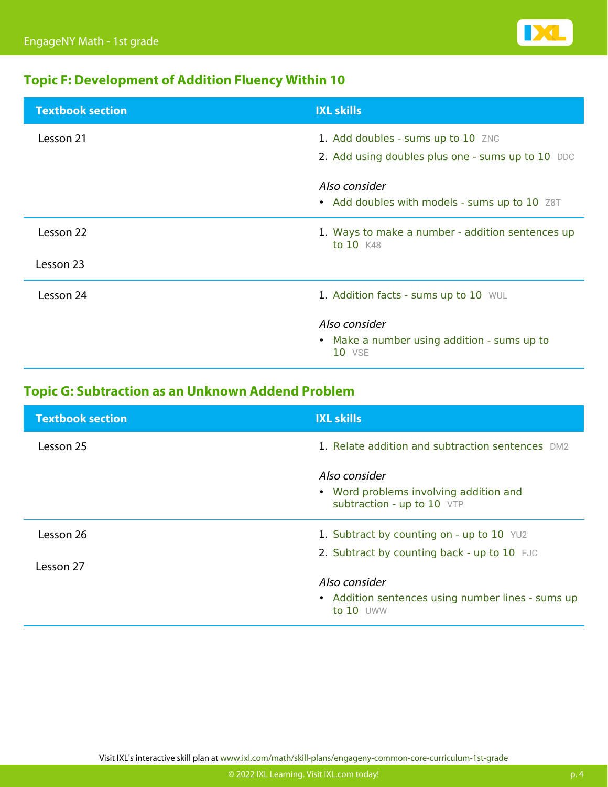

### **Topic F: Development of Addition Fluency Within 10**

| <b>Textbook section</b> | <b>IXL skills</b>                                                      |
|-------------------------|------------------------------------------------------------------------|
| Lesson 21               | 1. Add doubles - sums up to 10 ZNG                                     |
|                         | 2. Add using doubles plus one - sums up to 10 DDC                      |
|                         | Also consider<br>• Add doubles with models - sums up to 10 Z8T         |
| Lesson 22               | 1. Ways to make a number - addition sentences up<br>to 10 K48          |
| Lesson 23               |                                                                        |
| Lesson 24               | 1. Addition facts - sums up to 10 WUL                                  |
|                         | Also consider<br>• Make a number using addition - sums up to<br>10 VSE |

### **Topic G: Subtraction as an Unknown Addend Problem**

| <b>Textbook section</b> | <b>IXL skills</b>                                                                     |
|-------------------------|---------------------------------------------------------------------------------------|
| Lesson 25               | 1. Relate addition and subtraction sentences DM2                                      |
|                         | Also consider<br>• Word problems involving addition and<br>subtraction - up to 10 VTP |
| Lesson 26               | 1. Subtract by counting on - up to $10$ YU2                                           |
| Lesson 27               | 2. Subtract by counting back - up to 10 FJC                                           |
|                         | Also consider                                                                         |
|                         | • Addition sentences using number lines - sums up<br>to $10$ UWW                      |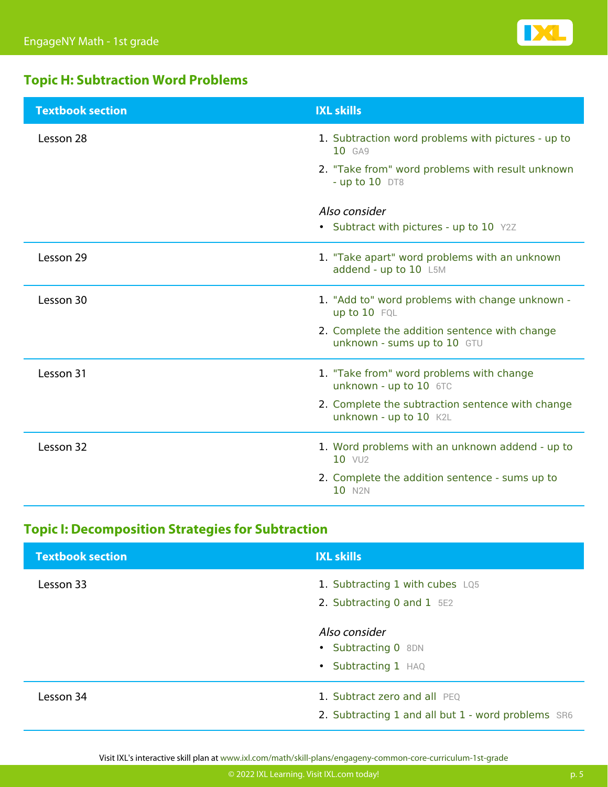

### **Topic H: Subtraction Word Problems**

| <b>Textbook section</b> | <b>IXL skills</b>                                                            |
|-------------------------|------------------------------------------------------------------------------|
| Lesson 28               | 1. Subtraction word problems with pictures - up to<br>10 GA9                 |
|                         | 2. "Take from" word problems with result unknown<br>- up to $10$ DT8         |
|                         | Also consider                                                                |
|                         | • Subtract with pictures - up to 10 Y2Z                                      |
| Lesson 29               | 1. "Take apart" word problems with an unknown<br>addend - up to 10 L5M       |
| Lesson 30               | 1. "Add to" word problems with change unknown -<br>up to 10 FQL              |
|                         | 2. Complete the addition sentence with change<br>unknown - sums up to 10 GTU |
| Lesson 31               | 1. "Take from" word problems with change<br>unknown - up to 10 6TC           |
|                         | 2. Complete the subtraction sentence with change<br>unknown - up to 10 K2L   |
| Lesson 32               | 1. Word problems with an unknown addend - up to<br>10 VU <sub>2</sub>        |
|                         | 2. Complete the addition sentence - sums up to<br>10 N <sub>2N</sub>         |

### **Topic I: Decomposition Strategies for Subtraction**

| <b>Textbook section</b> | <b>IXL skills</b>                                                                  |
|-------------------------|------------------------------------------------------------------------------------|
| Lesson 33               | 1. Subtracting 1 with cubes LQ5<br>2. Subtracting 0 and 1 5E2                      |
|                         | Also consider<br>• Subtracting 0 8DN<br>• Subtracting 1 HAQ                        |
| Lesson 34               | 1. Subtract zero and all PEQ<br>2. Subtracting 1 and all but 1 - word problems SR6 |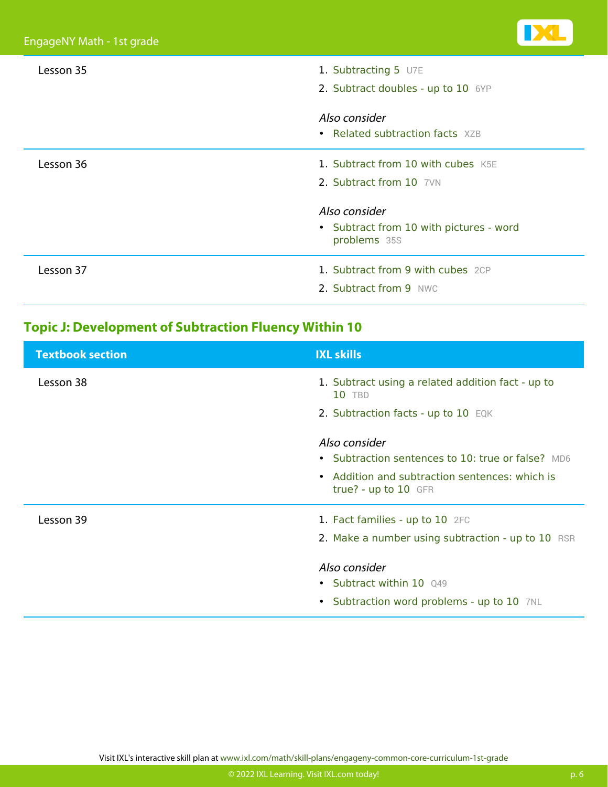| Lesson 35 | 1. Subtracting 5 U7E<br>2. Subtract doubles - up to 10 6YP                                                                                |
|-----------|-------------------------------------------------------------------------------------------------------------------------------------------|
|           | Also consider<br>• Related subtraction facts XZB                                                                                          |
| Lesson 36 | 1. Subtract from 10 with cubes K5E<br>2. Subtract from 10 7VN<br>Also consider<br>• Subtract from 10 with pictures - word<br>problems 35S |
| Lesson 37 | 1. Subtract from 9 with cubes 2CP<br>2. Subtract from 9 NWC                                                                               |

### **Topic J: Development of Subtraction Fluency Within 10**

| <b>Textbook section</b> | <b>IXL skills</b>                                                      |
|-------------------------|------------------------------------------------------------------------|
| Lesson 38               | 1. Subtract using a related addition fact - up to<br>10 TBD            |
|                         | 2. Subtraction facts - up to 10 EQK                                    |
|                         | Also consider                                                          |
|                         | • Subtraction sentences to 10: true or false? MD6                      |
|                         | • Addition and subtraction sentences: which is<br>true? - up to 10 GFR |
| Lesson 39               | 1. Fact families - up to 10 2FC                                        |
|                         | 2. Make a number using subtraction - up to 10 RSR                      |
|                         | Also consider                                                          |
|                         | • Subtract within 10 Q49                                               |
|                         | • Subtraction word problems - up to 10 7NL                             |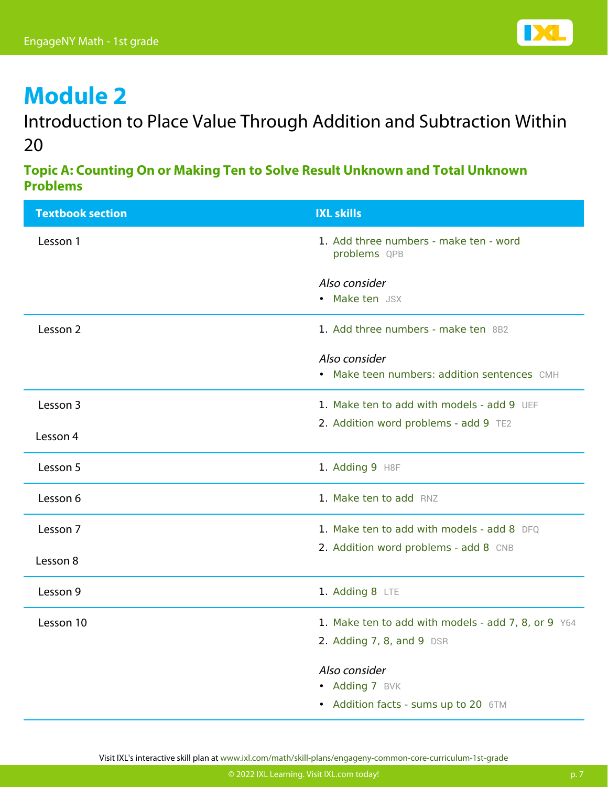

Introduction to Place Value Through Addition and Subtraction Within 20

**Topic A: Counting On or Making Ten to Solve Result Unknown and Total Unknown Problems**

| <b>Textbook section</b> | <b>IXL skills</b>                                            |
|-------------------------|--------------------------------------------------------------|
| Lesson 1                | 1. Add three numbers - make ten - word<br>problems QPB       |
|                         | Also consider<br>• Make ten JSX                              |
| Lesson 2                | 1. Add three numbers - make ten 8B2                          |
|                         | Also consider<br>• Make teen numbers: addition sentences CMH |
| Lesson 3                | 1. Make ten to add with models - add 9 UEF                   |
| Lesson 4                | 2. Addition word problems - add 9 TE2                        |
| Lesson 5                | 1. Adding 9 H8F                                              |
| Lesson 6                | 1. Make ten to add RNZ                                       |
| Lesson 7                | 1. Make ten to add with models - add 8 DFQ                   |
| Lesson 8                | 2. Addition word problems - add 8 CNB                        |
| Lesson 9                | 1. Adding 8 LTE                                              |
| Lesson 10               | 1. Make ten to add with models - add 7, 8, or 9 Y64          |
|                         | 2. Adding 7, 8, and 9 DSR                                    |
|                         | Also consider                                                |
|                         | • Adding 7 BVK                                               |
|                         | • Addition facts - sums up to 20 6TM                         |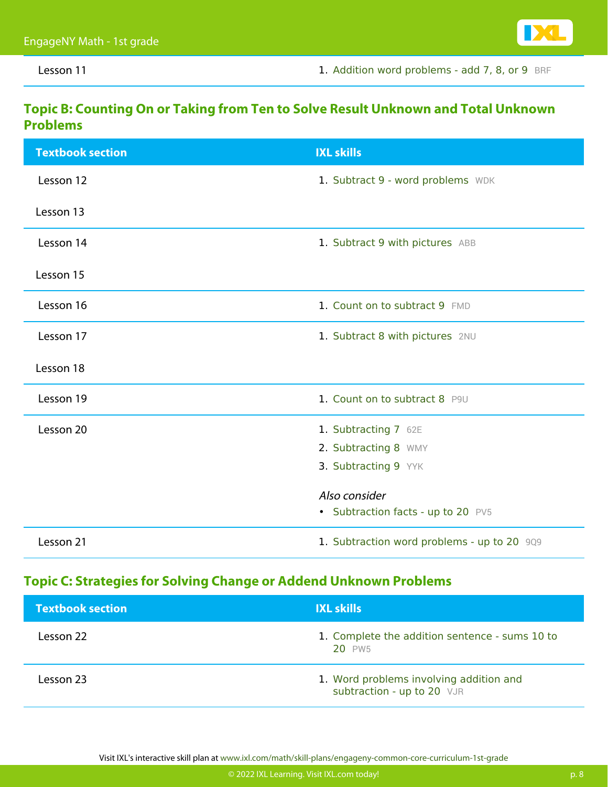Lesson 11 **Lesson 11 1. [Addition word problems - add 7, 8, or 9](https://www.ixl.com/math/grade-1/addition-word-problems-add-7-8-or-9) [BRF](https://www.ixl.com/math/grade-1/addition-word-problems-add-7-8-or-9)** 

#### **Topic B: Counting On or Taking from Ten to Solve Result Unknown and Total Unknown Problems**

| <b>Textbook section</b> | <b>IXL skills</b>                           |
|-------------------------|---------------------------------------------|
| Lesson 12               | 1. Subtract 9 - word problems WDK           |
| Lesson 13               |                                             |
| Lesson 14               | 1. Subtract 9 with pictures ABB             |
| Lesson 15               |                                             |
| Lesson 16               | 1. Count on to subtract 9 FMD               |
| Lesson 17               | 1. Subtract 8 with pictures 2NU             |
| Lesson 18               |                                             |
| Lesson 19               | 1. Count on to subtract 8 P9U               |
| Lesson 20               | 1. Subtracting 7 62E                        |
|                         | 2. Subtracting 8 WMY                        |
|                         | 3. Subtracting 9 YYK                        |
|                         | Also consider                               |
|                         | • Subtraction facts - up to 20 PV5          |
| Lesson 21               | 1. Subtraction word problems - up to 20 909 |

#### **Topic C: Strategies for Solving Change or Addend Unknown Problems**

| <b>Textbook section</b> | <b>IXL skills</b>                                                     |
|-------------------------|-----------------------------------------------------------------------|
| Lesson 22               | 1. Complete the addition sentence - sums 10 to<br>20 PW <sub>5</sub>  |
| Lesson 23               | 1. Word problems involving addition and<br>subtraction - up to 20 VJR |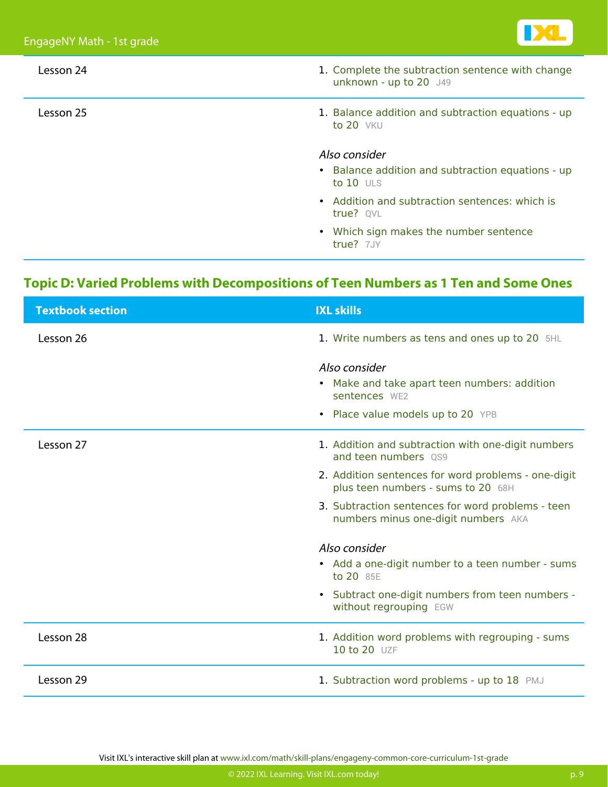

| Lesson 24 | 1. Complete the subtraction sentence with change<br>unknown - up to 20 J49 |
|-----------|----------------------------------------------------------------------------|
| Lesson 25 | 1. Balance addition and subtraction equations - up<br>to $20$ VKU          |
|           | Also consider                                                              |
|           | • Balance addition and subtraction equations - up<br>to $10$ ULS           |
|           | • Addition and subtraction sentences: which is<br>true? OVL                |
|           | • Which sign makes the number sentence<br>true? 7JY                        |

### **Topic D: Varied Problems with Decompositions of Teen Numbers as 1 Ten and Some Ones**

| <b>Textbook section</b> | <b>IXL skills</b>                                                                         |
|-------------------------|-------------------------------------------------------------------------------------------|
| Lesson 26               | 1. Write numbers as tens and ones up to 20 5HL                                            |
|                         | Also consider                                                                             |
|                         | • Make and take apart teen numbers: addition<br>sentences WF2                             |
|                         | • Place value models up to 20 YPB                                                         |
| Lesson 27               | 1. Addition and subtraction with one-digit numbers<br>and teen numbers 0S9                |
|                         | 2. Addition sentences for word problems - one-digit<br>plus teen numbers - sums to 20 68H |
|                         | 3. Subtraction sentences for word problems - teen<br>numbers minus one-digit numbers AKA  |
|                         | Also consider                                                                             |
|                         | • Add a one-digit number to a teen number - sums<br>to 20 85E                             |
|                         | • Subtract one-digit numbers from teen numbers -<br>without regrouping EGW                |
| Lesson 28               | 1. Addition word problems with regrouping - sums<br>10 to 20 UZF                          |
| Lesson 29               | 1. Subtraction word problems - up to 18 PMJ                                               |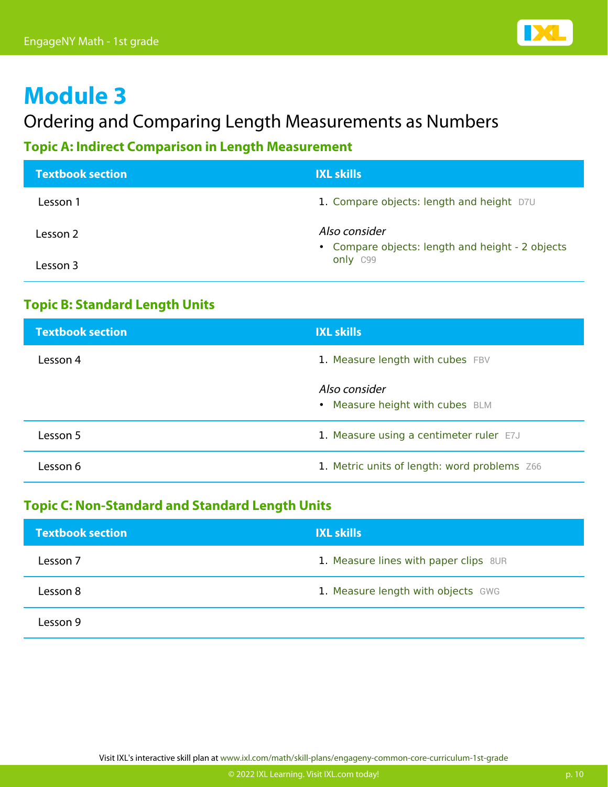

### Ordering and Comparing Length Measurements as Numbers

### **Topic A: Indirect Comparison in Length Measurement**

| <b>Textbook section</b> | <b>IXL skills</b>                                                 |
|-------------------------|-------------------------------------------------------------------|
| Lesson 1                | 1. Compare objects: length and height D7U                         |
| Lesson 2                | Also consider<br>• Compare objects: length and height - 2 objects |
| Lesson 3                | only C99                                                          |

### **Topic B: Standard Length Units**

| <b>Textbook section</b> | <b>IXL skills</b>                                |
|-------------------------|--------------------------------------------------|
| Lesson 4                | 1. Measure length with cubes FBV                 |
|                         | Also consider<br>• Measure height with cubes BLM |
| Lesson 5                | 1. Measure using a centimeter ruler E7J          |
| Lesson 6                | 1. Metric units of length: word problems Z66     |

#### **Topic C: Non-Standard and Standard Length Units**

| <b>Textbook section</b> | <b>IXL skills</b>                     |
|-------------------------|---------------------------------------|
| Lesson 7                | 1. Measure lines with paper clips 8UR |
| Lesson 8                | 1. Measure length with objects GWG    |
| Lesson 9                |                                       |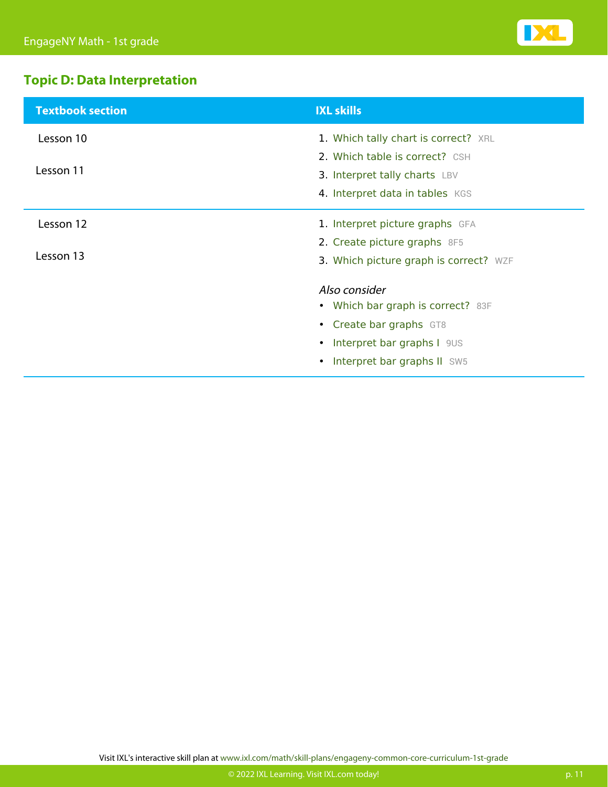

### **Topic D: Data Interpretation**

| <b>Textbook section</b> | <b>IXL skills</b>                      |
|-------------------------|----------------------------------------|
| Lesson 10               | 1. Which tally chart is correct? XRL   |
|                         | 2. Which table is correct? CSH         |
| Lesson 11               | 3. Interpret tally charts LBV          |
|                         | 4. Interpret data in tables KGS        |
| Lesson 12               | 1. Interpret picture graphs GFA        |
|                         | 2. Create picture graphs 8F5           |
| Lesson 13               | 3. Which picture graph is correct? WZF |
|                         | Also consider                          |
|                         | • Which bar graph is correct? 83F      |
|                         | • Create bar graphs GT8                |
|                         | • Interpret bar graphs I 9US           |
|                         | Interpret bar graphs II SW5            |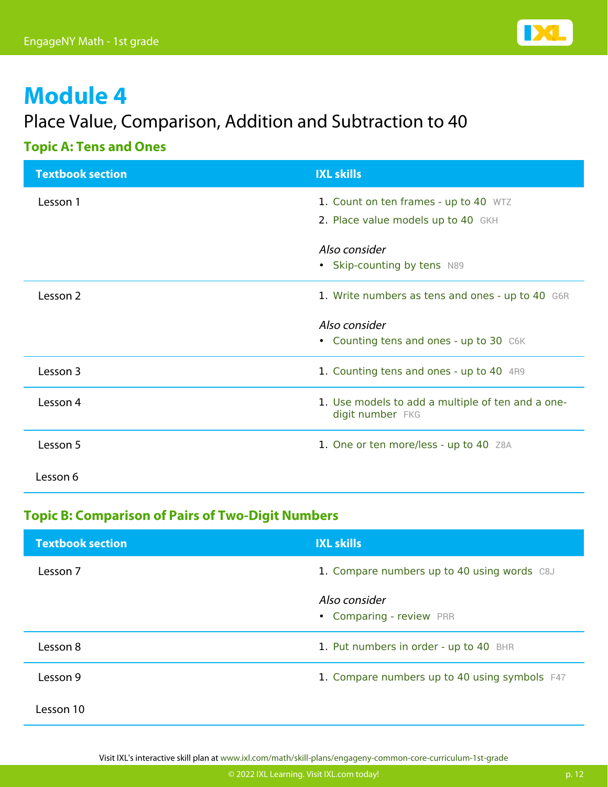

### Place Value, Comparison, Addition and Subtraction to 40

#### **Topic A: Tens and Ones**

| <b>Textbook section</b> | <b>IXL skills</b>                                                     |
|-------------------------|-----------------------------------------------------------------------|
| Lesson 1                | 1. Count on ten frames - up to 40 WTZ                                 |
|                         | 2. Place value models up to 40 GKH                                    |
|                         | Also consider                                                         |
|                         | • Skip-counting by tens N89                                           |
| Lesson 2                | 1. Write numbers as tens and ones - up to 40 G6R                      |
|                         | Also consider                                                         |
|                         | • Counting tens and ones - up to 30 C6K                               |
| Lesson 3                | 1. Counting tens and ones - up to 40 4R9                              |
| Lesson 4                | 1. Use models to add a multiple of ten and a one-<br>digit number FKG |
|                         |                                                                       |
| Lesson 5                | 1. One or ten more/less - up to 40 Z8A                                |
| Lesson 6                |                                                                       |

### **Topic B: Comparison of Pairs of Two-Digit Numbers**

| <b>Textbook section</b> | <b>IXL skills</b>                             |
|-------------------------|-----------------------------------------------|
| Lesson 7                | 1. Compare numbers up to 40 using words C8J   |
|                         | Also consider<br>• Comparing - review PRR     |
| Lesson 8                | 1. Put numbers in order - up to 40 BHR        |
| Lesson 9                | 1. Compare numbers up to 40 using symbols F47 |
| Lesson 10               |                                               |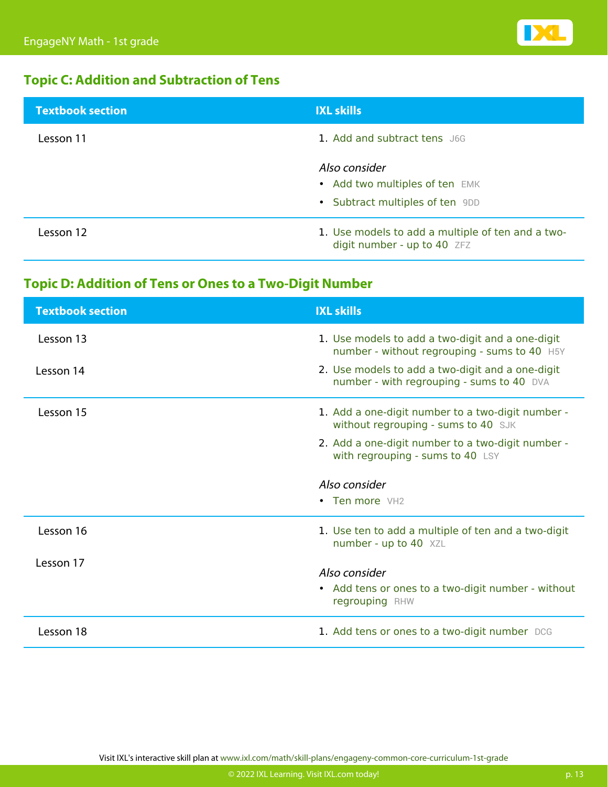

### **Topic C: Addition and Subtraction of Tens**

| <b>Textbook section</b> | <b>IXL skills</b>                                                                  |
|-------------------------|------------------------------------------------------------------------------------|
| Lesson 11               | 1. Add and subtract tens J6G                                                       |
|                         | Also consider<br>• Add two multiples of ten EMK<br>• Subtract multiples of ten 9DD |
| Lesson 12               | 1. Use models to add a multiple of ten and a two-<br>digit number - up to 40 ZFZ   |

### **Topic D: Addition of Tens or Ones to a Two-Digit Number**

| <b>Textbook section</b> | <b>IXL skills</b>                                                                                |
|-------------------------|--------------------------------------------------------------------------------------------------|
| Lesson 13               | 1. Use models to add a two-digit and a one-digit<br>number - without regrouping - sums to 40 H5Y |
| Lesson 14               | 2. Use models to add a two-digit and a one-digit<br>number - with regrouping - sums to 40 DVA    |
| Lesson 15               | 1. Add a one-digit number to a two-digit number -<br>without regrouping - sums to 40 SJK         |
|                         | 2. Add a one-digit number to a two-digit number -<br>with regrouping - sums to 40 LSY            |
|                         |                                                                                                  |
|                         | Also consider                                                                                    |
|                         | • Ten more VH2                                                                                   |
| Lesson 16               | 1. Use ten to add a multiple of ten and a two-digit<br>number - up to 40 XZL                     |
| Lesson 17               | Also consider                                                                                    |
|                         | • Add tens or ones to a two-digit number - without<br>regrouping RHW                             |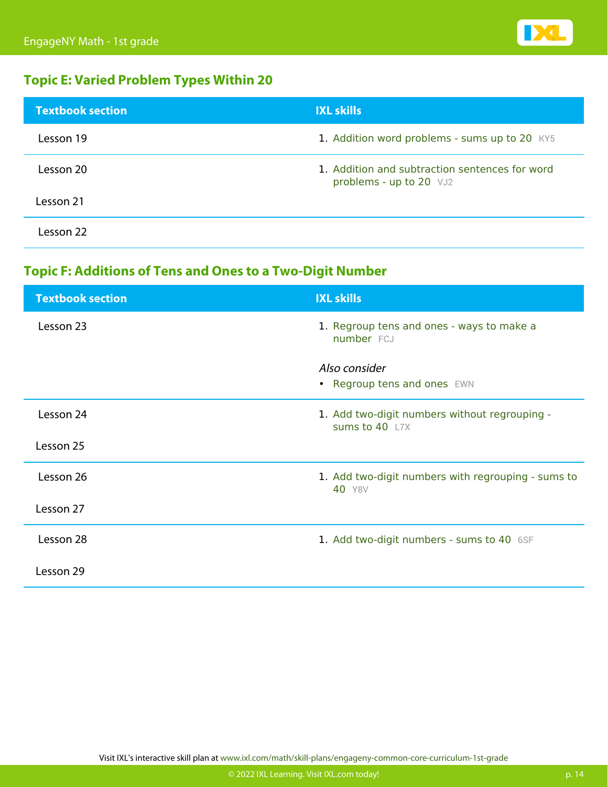

### **Topic E: Varied Problem Types Within 20**

| <b>Textbook section</b> | <b>IXL skills</b>                                                         |
|-------------------------|---------------------------------------------------------------------------|
| Lesson 19               | 1. Addition word problems - sums up to 20 KY5                             |
| Lesson 20               | 1. Addition and subtraction sentences for word<br>problems - up to 20 VJ2 |
| Lesson 21               |                                                                           |
| Lesson 22               |                                                                           |

### **Topic F: Additions of Tens and Ones to a Two-Digit Number**

| <b>Textbook section</b> | <b>IXL skills</b>                                               |
|-------------------------|-----------------------------------------------------------------|
| Lesson 23               | 1. Regroup tens and ones - ways to make a<br>number FCJ         |
|                         | Also consider                                                   |
|                         | • Regroup tens and ones EWN                                     |
| Lesson 24               | 1. Add two-digit numbers without regrouping -<br>sums to 40 L7X |
| Lesson 25               |                                                                 |
| Lesson 26               | 1. Add two-digit numbers with regrouping - sums to<br>40 Y8V    |
| Lesson 27               |                                                                 |
| Lesson 28               | 1. Add two-digit numbers - sums to 40 6SF                       |
| Lesson 29               |                                                                 |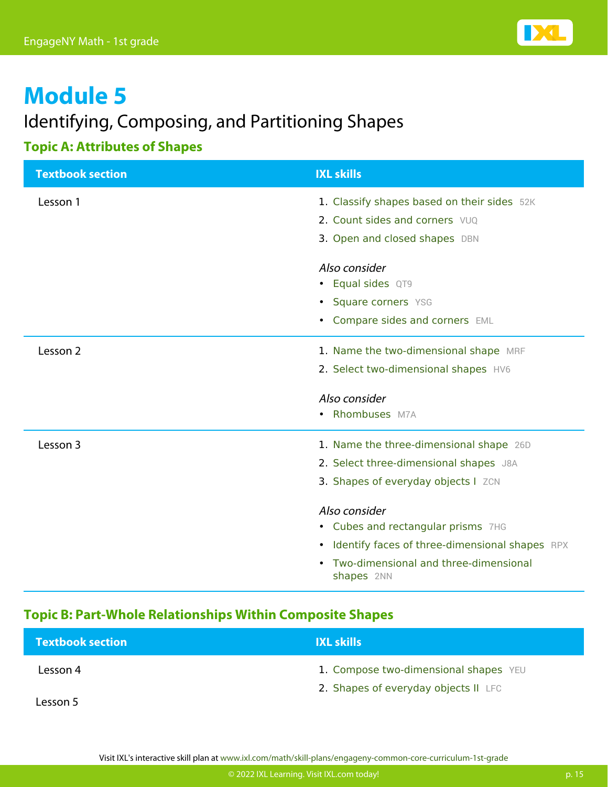

### Identifying, Composing, and Partitioning Shapes

### **Topic A: Attributes of Shapes**

| <b>Textbook section</b> | <b>IXL skills</b>                                           |
|-------------------------|-------------------------------------------------------------|
| Lesson 1                | 1. Classify shapes based on their sides 52K                 |
|                         | 2. Count sides and corners VUQ                              |
|                         | 3. Open and closed shapes DBN                               |
|                         | Also consider                                               |
|                         | • Equal sides QT9                                           |
|                         | • Square corners YSG                                        |
|                         | • Compare sides and corners EML                             |
| Lesson 2                | 1. Name the two-dimensional shape MRF                       |
|                         | 2. Select two-dimensional shapes HV6                        |
|                         | Also consider                                               |
|                         | • Rhombuses M7A                                             |
| Lesson 3                | 1. Name the three-dimensional shape 26D                     |
|                         | 2. Select three-dimensional shapes J8A                      |
|                         | 3. Shapes of everyday objects I ZCN                         |
|                         | Also consider                                               |
|                         | • Cubes and rectangular prisms 7HG                          |
|                         | Identify faces of three-dimensional shapes RPX<br>$\bullet$ |
|                         | Two-dimensional and three-dimensional<br>shapes 2NN         |

### **Topic B: Part-Whole Relationships Within Composite Shapes**

| <b>Textbook section</b> | <b>IXL skills</b>                     |
|-------------------------|---------------------------------------|
| Lesson 4                | 1. Compose two-dimensional shapes YEU |
| Lesson 5                | 2. Shapes of everyday objects II LFC  |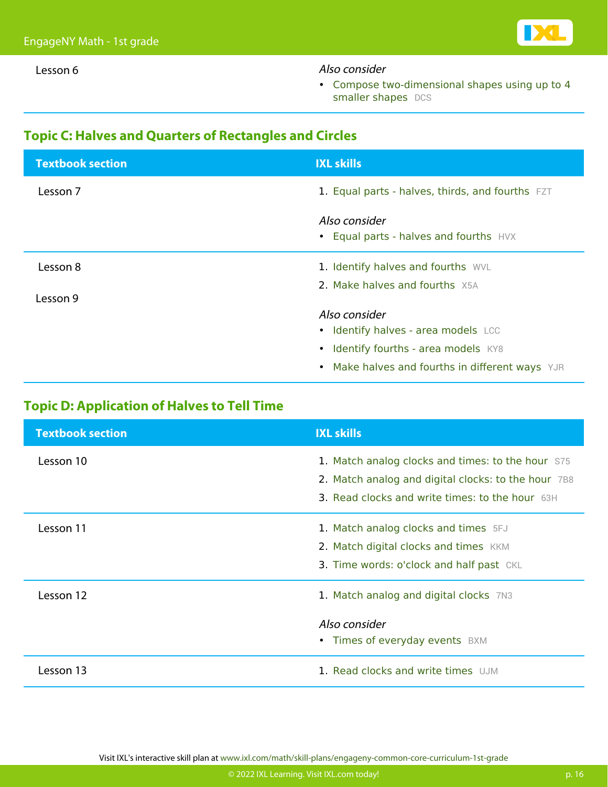#### Lesson 6 **Also consider**

• [Compose two-dimensional shapes using up to 4](https://www.ixl.com/math/grade-1/compose-two-dimensional-shapes-using-up-to-4-smaller-shapes) [smaller shapes](https://www.ixl.com/math/grade-1/compose-two-dimensional-shapes-using-up-to-4-smaller-shapes) [DCS](https://www.ixl.com/math/grade-1/compose-two-dimensional-shapes-using-up-to-4-smaller-shapes)

#### **Topic C: Halves and Quarters of Rectangles and Circles**

| <b>Textbook section</b> | <b>IXL skills</b>                                       |
|-------------------------|---------------------------------------------------------|
| Lesson 7                | 1. Equal parts - halves, thirds, and fourths FZT        |
|                         | Also consider<br>• Equal parts - halves and fourths HVX |
| Lesson 8                | 1. Identify halves and fourths WVL                      |
| Lesson 9                | 2. Make halves and fourths X5A                          |
|                         | Also consider<br>• Identify halves - area models LCC    |
|                         | • Identify fourths - area models KY8                    |
|                         | • Make halves and fourths in different ways YJR         |
|                         |                                                         |

### **Topic D: Application of Halves to Tell Time**

| <b>Textbook section</b> | <b>IXL skills</b>                                                                                        |
|-------------------------|----------------------------------------------------------------------------------------------------------|
| Lesson 10               | 1. Match analog clocks and times: to the hour S75<br>2. Match analog and digital clocks: to the hour 7B8 |
|                         | 3. Read clocks and write times: to the hour 63H                                                          |
| Lesson 11               | 1. Match analog clocks and times 5FJ                                                                     |
|                         | 2. Match digital clocks and times KKM                                                                    |
|                         | 3. Time words: o'clock and half past CKL                                                                 |
| Lesson 12               | 1. Match analog and digital clocks 7N3                                                                   |
|                         | Also consider                                                                                            |
|                         | • Times of everyday events BXM                                                                           |
| Lesson 13               | 1. Read clocks and write times UJM                                                                       |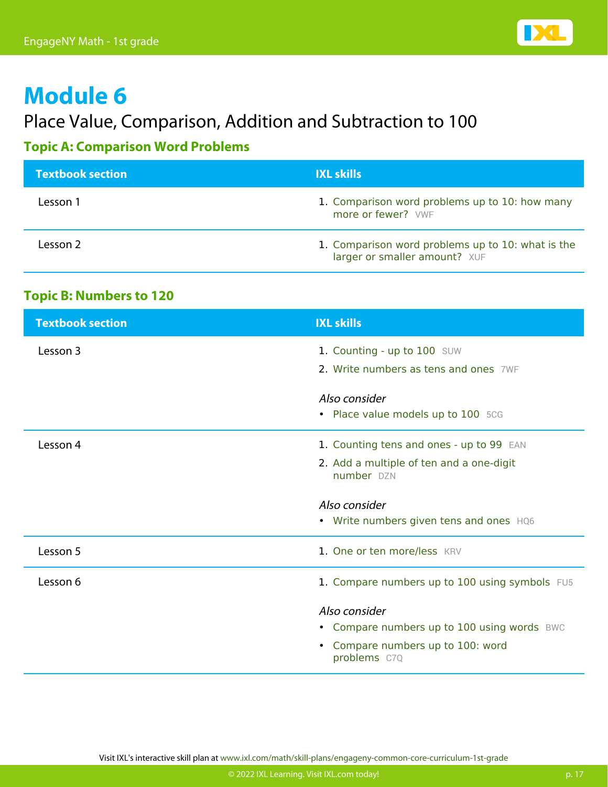

### Place Value, Comparison, Addition and Subtraction to 100

### **Topic A: Comparison Word Problems**

| <b>Textbook section</b> | <b>IXL skills</b>                                                                  |
|-------------------------|------------------------------------------------------------------------------------|
| Lesson 1                | 1. Comparison word problems up to 10: how many<br>more or fewer? VWF               |
| Lesson 2                | 1. Comparison word problems up to 10: what is the<br>larger or smaller amount? XUF |

#### **Topic B: Numbers to 120**

| <b>Textbook section</b> | <b>IXL skills</b>                                      |
|-------------------------|--------------------------------------------------------|
| Lesson 3                | 1. Counting - up to 100 SUW                            |
|                         | 2. Write numbers as tens and ones 7WF                  |
|                         | Also consider                                          |
|                         | • Place value models up to 100 5CG                     |
| Lesson 4                | 1. Counting tens and ones - up to 99 EAN               |
|                         | 2. Add a multiple of ten and a one-digit<br>number DZN |
|                         | Also consider                                          |
|                         | • Write numbers given tens and ones HQ6                |
| Lesson 5                | 1. One or ten more/less KRV                            |
| Lesson 6                | 1. Compare numbers up to 100 using symbols FU5         |
|                         | Also consider                                          |
|                         |                                                        |
|                         | • Compare numbers up to 100 using words BWC            |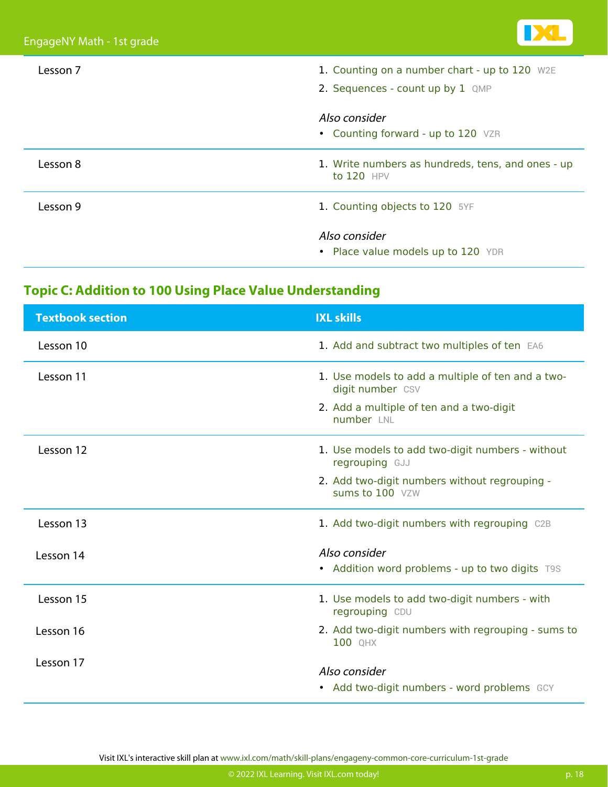

| Lesson 7 | 1. Counting on a number chart - up to 120 W2E<br>2. Sequences - count up by 1 QMP |
|----------|-----------------------------------------------------------------------------------|
|          | Also consider<br>• Counting forward - up to 120 VZR                               |
| Lesson 8 | 1. Write numbers as hundreds, tens, and ones - up<br>to $120$ HPV                 |
| Lesson 9 | 1. Counting objects to 120 5YF                                                    |
|          | Also consider<br>• Place value models up to 120 YDR                               |

### **Topic C: Addition to 100 Using Place Value Understanding**

| <b>Textbook section</b> | <b>IXL skills</b>                                                     |
|-------------------------|-----------------------------------------------------------------------|
| Lesson 10               | 1. Add and subtract two multiples of ten EA6                          |
| Lesson 11               | 1. Use models to add a multiple of ten and a two-<br>digit number CSV |
|                         | 2. Add a multiple of ten and a two-digit<br>number LNL                |
| Lesson 12               | 1. Use models to add two-digit numbers - without<br>regrouping GJJ    |
|                         | 2. Add two-digit numbers without regrouping -<br>sums to 100 VZW      |
| Lesson 13               | 1. Add two-digit numbers with regrouping C2B                          |
| Lesson 14               | Also consider                                                         |
|                         | • Addition word problems - up to two digits T9S                       |
| Lesson 15               | 1. Use models to add two-digit numbers - with<br>regrouping CDU       |
| Lesson 16               | 2. Add two-digit numbers with regrouping - sums to<br>100 QHX         |
| Lesson 17               | Also consider                                                         |
|                         |                                                                       |
|                         | • Add two-digit numbers - word problems GCY                           |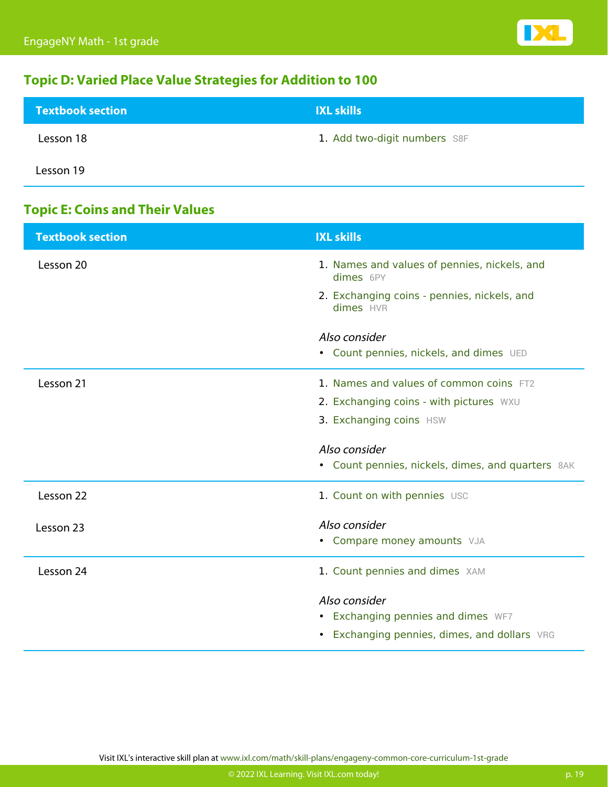

### **Topic D: Varied Place Value Strategies for Addition to 100**

| <b>Textbook section</b> | <b>IXL skills</b>            |
|-------------------------|------------------------------|
| Lesson 18               | 1. Add two-digit numbers S8F |
| Lesson 19               |                              |

### **Topic E: Coins and Their Values**

| <b>Textbook section</b> | <b>IXL skills</b>                                         |
|-------------------------|-----------------------------------------------------------|
| Lesson 20               | 1. Names and values of pennies, nickels, and<br>dimes 6PY |
|                         | 2. Exchanging coins - pennies, nickels, and<br>dimes HVR  |
|                         | Also consider                                             |
|                         | • Count pennies, nickels, and dimes UED                   |
|                         |                                                           |
| Lesson 21               | 1. Names and values of common coins FT2                   |
|                         | 2. Exchanging coins - with pictures WXU                   |
|                         | 3. Exchanging coins HSW                                   |
|                         |                                                           |
|                         | Also consider                                             |
|                         | • Count pennies, nickels, dimes, and quarters 8AK         |
| Lesson 22               | 1. Count on with pennies USC                              |
| Lesson 23               | Also consider                                             |
|                         | • Compare money amounts VJA                               |
| Lesson 24               | 1. Count pennies and dimes XAM                            |
|                         | Also consider                                             |
|                         | • Exchanging pennies and dimes WF7                        |
|                         | • Exchanging pennies, dimes, and dollars VRG              |
|                         |                                                           |